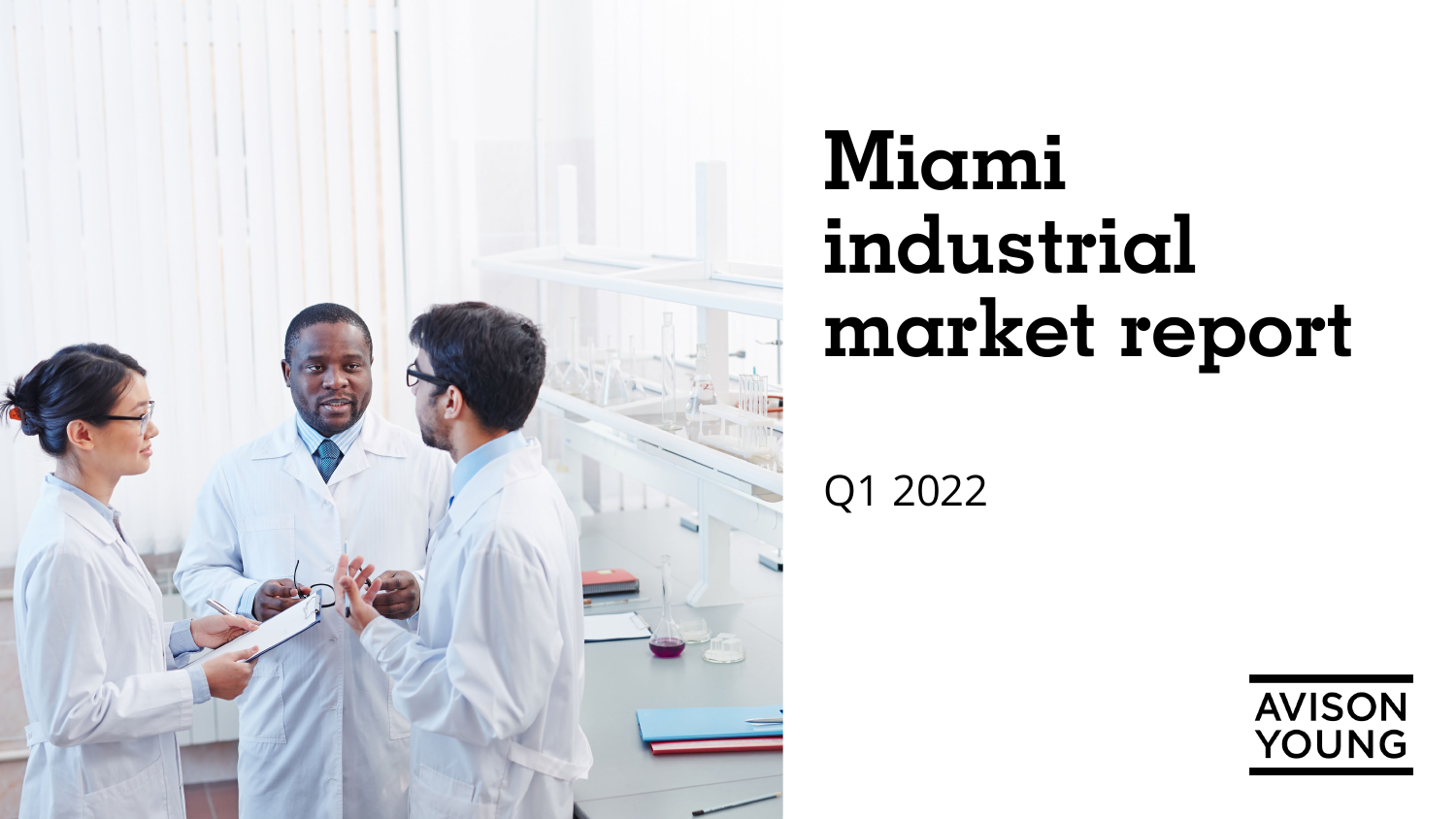

# **Miami industrial market report**

Q1 2022

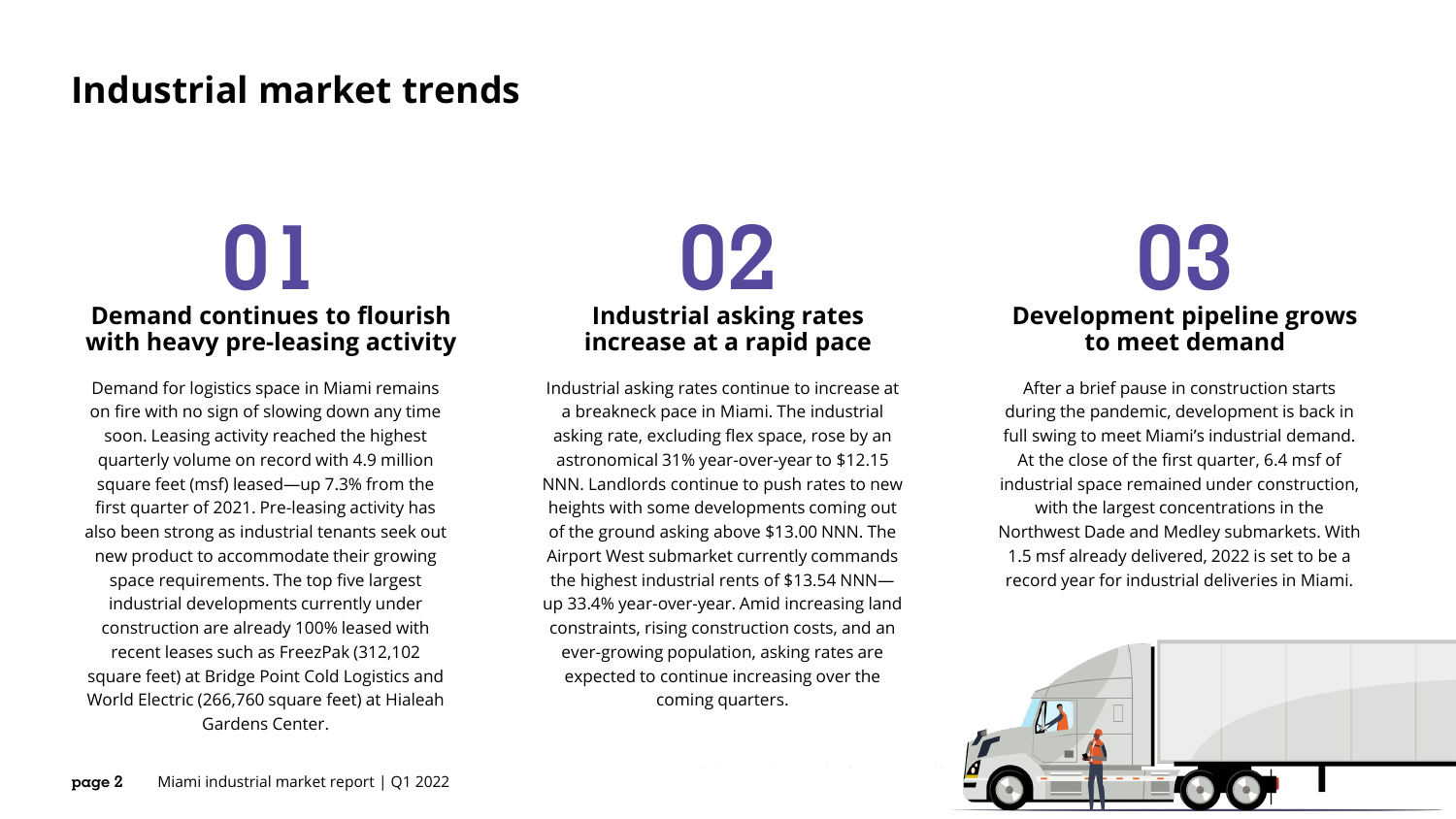### **Industrial market trends**

## **Demand continues to flourish with heavy pre-leasing activity**

Demand for logistics space in Miami remains on fire with no sign of slowing down any time soon. Leasing activity reached the highest quarterly volume on record with 4.9 million square feet (msf) leased—up 7.3% from the first quarter of 2021. Pre-leasing activity has also been strong as industrial tenants seek out new product to accommodate their growing space requirements. The top five largest industrial developments currently under construction are already 100% leased with recent leases such as FreezPak (312,102 square feet) at Bridge Point Cold Logistics and World Electric (266,760 square feet) at Hialeah Gardens Center.



Industrial asking rates continue to increase at a breakneck pace in Miami. The industrial asking rate, excluding flex space, rose by an astronomical 31% year-over-year to \$12.15 NNN. Landlords continue to push rates to new heights with some developments coming out of the ground asking above \$13.00 NNN. The Airport West submarket currently commands the highest industrial rents of \$13.54 NNN up 33.4% year-over-year. Amid increasing land constraints, rising construction costs, and an ever-growing population, asking rates are expected to continue increasing over the coming quarters.

## **Development pipeline grows to meet demand**

After a brief pause in construction starts during the pandemic, development is back in full swing to meet Miami's industrial demand. At the close of the first quarter, 6.4 msf of industrial space remained under construction, with the largest concentrations in the Northwest Dade and Medley submarkets. With 1.5 msf already delivered, 2022 is set to be a record year for industrial deliveries in Miami.

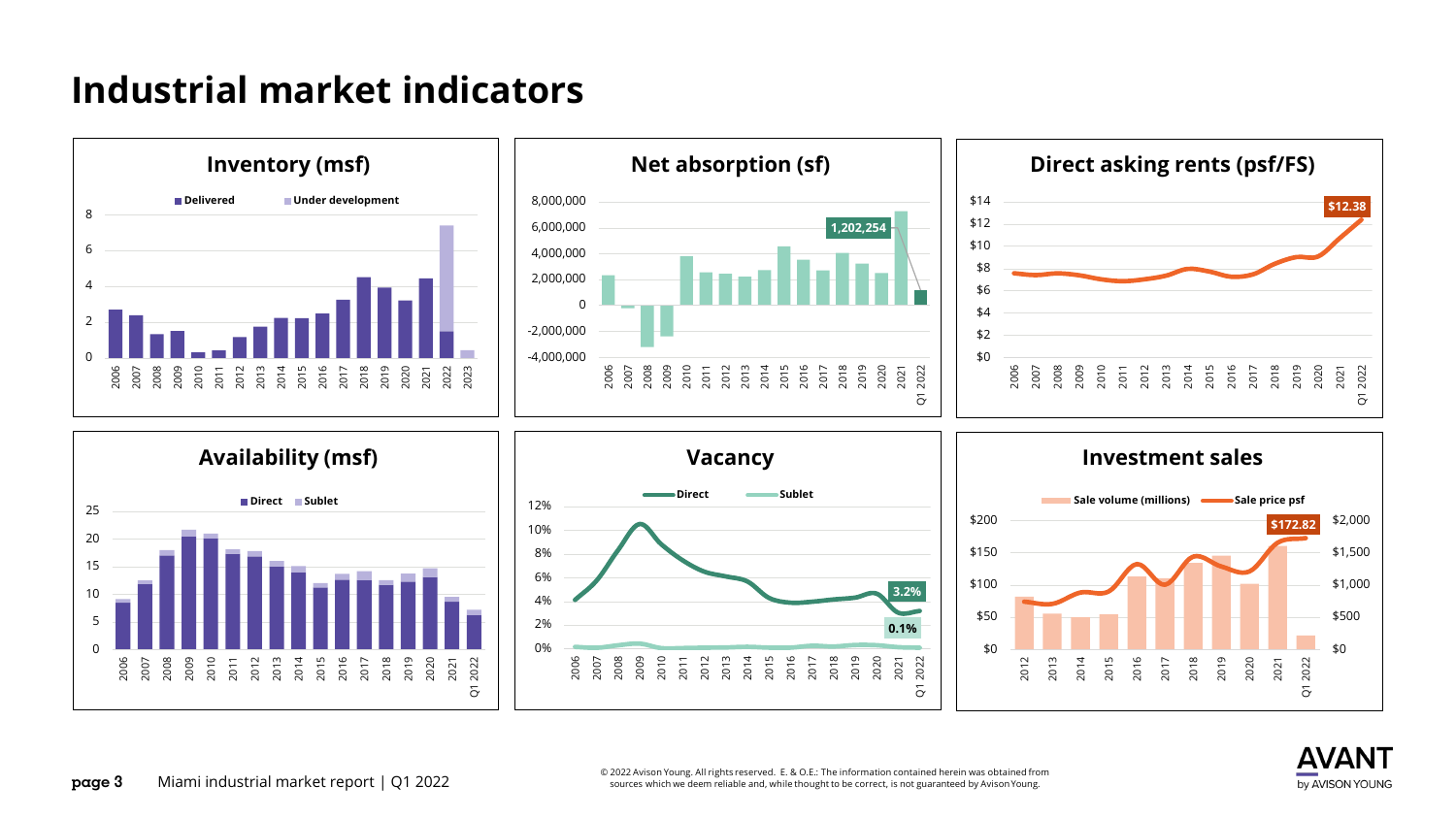## **Industrial market indicators**



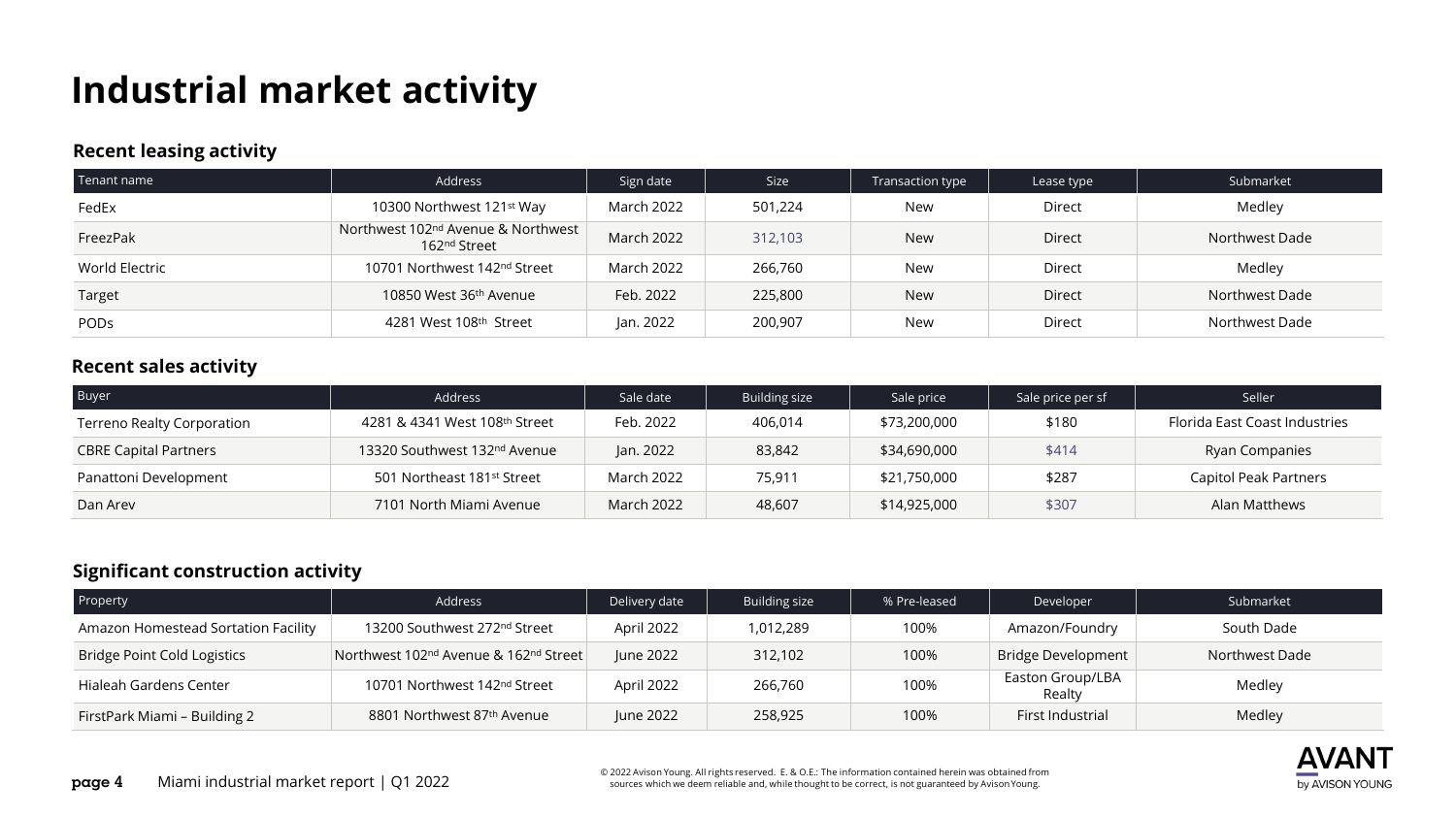## **Industrial market activity**

#### **Recent leasing activity**

| Tenant name    | Address                                                                    | Sign date         | <b>Size</b> | Transaction type     | Lease type    | Submarket      |  |
|----------------|----------------------------------------------------------------------------|-------------------|-------------|----------------------|---------------|----------------|--|
| FedEx          | 10300 Northwest 121st Way                                                  | March 2022        | 501,224     | Direct<br><b>New</b> |               | Medley         |  |
| FreezPak       | Northwest 102 <sup>nd</sup> Avenue & Northwest<br>162 <sup>nd</sup> Street | March 2022        | 312,103     | <b>New</b>           | <b>Direct</b> | Northwest Dade |  |
| World Electric | 10701 Northwest 142 <sup>nd</sup> Street                                   | <b>March 2022</b> | 266,760     | New                  | Direct        | Medley         |  |
| Target         | 10850 West 36th Avenue                                                     | Feb. 2022         | 225,800     | <b>New</b>           | <b>Direct</b> | Northwest Dade |  |
| <b>PODS</b>    | 4281 West 108th Street                                                     | Jan. 2022         | 200,907     | New                  | Direct        | Northwest Dade |  |

#### **Recent sales activity**

| <b>Buyer</b>                 | <b>Address</b>                           | Sale date  | <b>Building size</b> | Sale price   | Sale price per sf | Seller                        |  |
|------------------------------|------------------------------------------|------------|----------------------|--------------|-------------------|-------------------------------|--|
| Terreno Realty Corporation   | 4281 & 4341 West 108th Street            | Feb. 2022  | 406,014              | \$73,200,000 | \$180             | Florida East Coast Industries |  |
| <b>CBRE Capital Partners</b> | 13320 Southwest 132 <sup>nd</sup> Avenue | Jan. 2022  | 83,842               | \$34,690,000 | \$414             | Ryan Companies                |  |
| Panattoni Development        | 501 Northeast 181st Street               | March 2022 | 75,911               | \$21,750,000 | \$287             | Capitol Peak Partners         |  |
| Dan Arey                     | 7101 North Miami Avenue                  | March 2022 | 48,607               | \$14,925,000 | \$307             | Alan Matthews                 |  |

#### **Significant construction activity**

| Property                            | <b>Address</b>                                                | Delivery date | Building size | % Pre-leased | Developer                  | Submarket      |
|-------------------------------------|---------------------------------------------------------------|---------------|---------------|--------------|----------------------------|----------------|
| Amazon Homestead Sortation Facility | 13200 Southwest 272 <sup>nd</sup> Street                      | April 2022    | 1,012,289     | 100%         | Amazon/Foundry             | South Dade     |
| Bridge Point Cold Logistics         | Northwest 102 <sup>nd</sup> Avenue & 162 <sup>nd</sup> Street | June 2022     | 312,102       | 100%         | <b>Bridge Development</b>  | Northwest Dade |
| Hialeah Gardens Center              | 10701 Northwest 142 <sup>nd</sup> Street                      | April 2022    | 266,760       | 100%         | Easton Group/LBA<br>Realty | Medley         |
| FirstPark Miami - Building 2        | 8801 Northwest 87 <sup>th</sup> Avenue                        | June 2022     | 258,925       | 100%         | First Industrial           | Medley         |

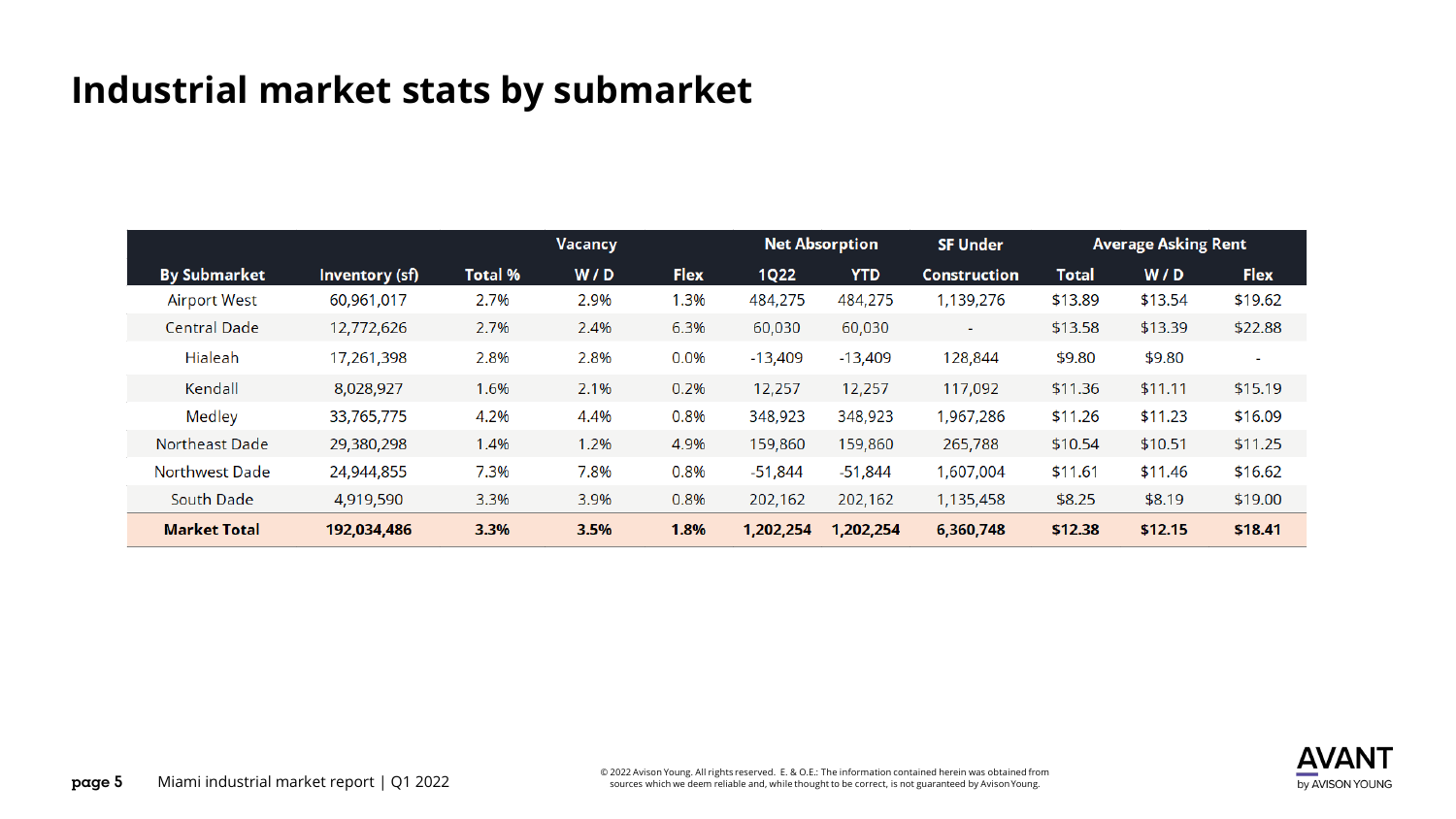### **Industrial market stats by submarket**

|                       |                | Vacancy        |      |             | <b>Net Absorption</b> | <b>SF Under</b> | <b>Average Asking Rent</b> |              |         |                          |
|-----------------------|----------------|----------------|------|-------------|-----------------------|-----------------|----------------------------|--------------|---------|--------------------------|
| <b>By Submarket</b>   | Inventory (sf) | <b>Total %</b> | W/D  | <b>Flex</b> | <b>1Q22</b>           | <b>YTD</b>      | <b>Construction</b>        | <b>Total</b> | W/D     | <b>Flex</b>              |
| <b>Airport West</b>   | 60,961,017     | 2.7%           | 2.9% | 1.3%        | 484,275               | 484,275         | 1,139,276                  | \$13.89      | \$13.54 | \$19.62                  |
| <b>Central Dade</b>   | 12,772,626     | 2.7%           | 2.4% | 6.3%        | 60,030                | 60,030          | $\sim$                     | \$13.58      | \$13.39 | \$22.88                  |
| Hialeah               | 17,261,398     | 2.8%           | 2.8% | 0.0%        | $-13,409$             | $-13,409$       | 128,844                    | \$9.80       | \$9.80  | $\overline{\phantom{a}}$ |
| Kendall               | 8,028,927      | 1.6%           | 2.1% | 0.2%        | 12,257                | 12,257          | 117,092                    | \$11.36      | \$11.11 | \$15.19                  |
| Medley                | 33,765,775     | 4.2%           | 4.4% | 0.8%        | 348,923               | 348,923         | 1,967,286                  | \$11.26      | \$11.23 | \$16.09                  |
| Northeast Dade        | 29,380,298     | 1.4%           | 1.2% | 4.9%        | 159,860               | 159,860         | 265,788                    | \$10.54      | \$10.51 | \$11.25                  |
| <b>Northwest Dade</b> | 24,944,855     | 7.3%           | 7.8% | 0.8%        | $-51,844$             | $-51,844$       | 1,607,004                  | \$11.61      | \$11.46 | \$16.62                  |
| South Dade            | 4,919,590      | 3.3%           | 3.9% | 0.8%        | 202,162               | 202,162         | 1,135,458                  | \$8.25       | \$8.19  | \$19.00                  |
| <b>Market Total</b>   | 192,034,486    | 3.3%           | 3.5% | 1.8%        | 1,202,254             | 1,202,254       | 6,360,748                  | \$12.38      | \$12.15 | \$18.41                  |

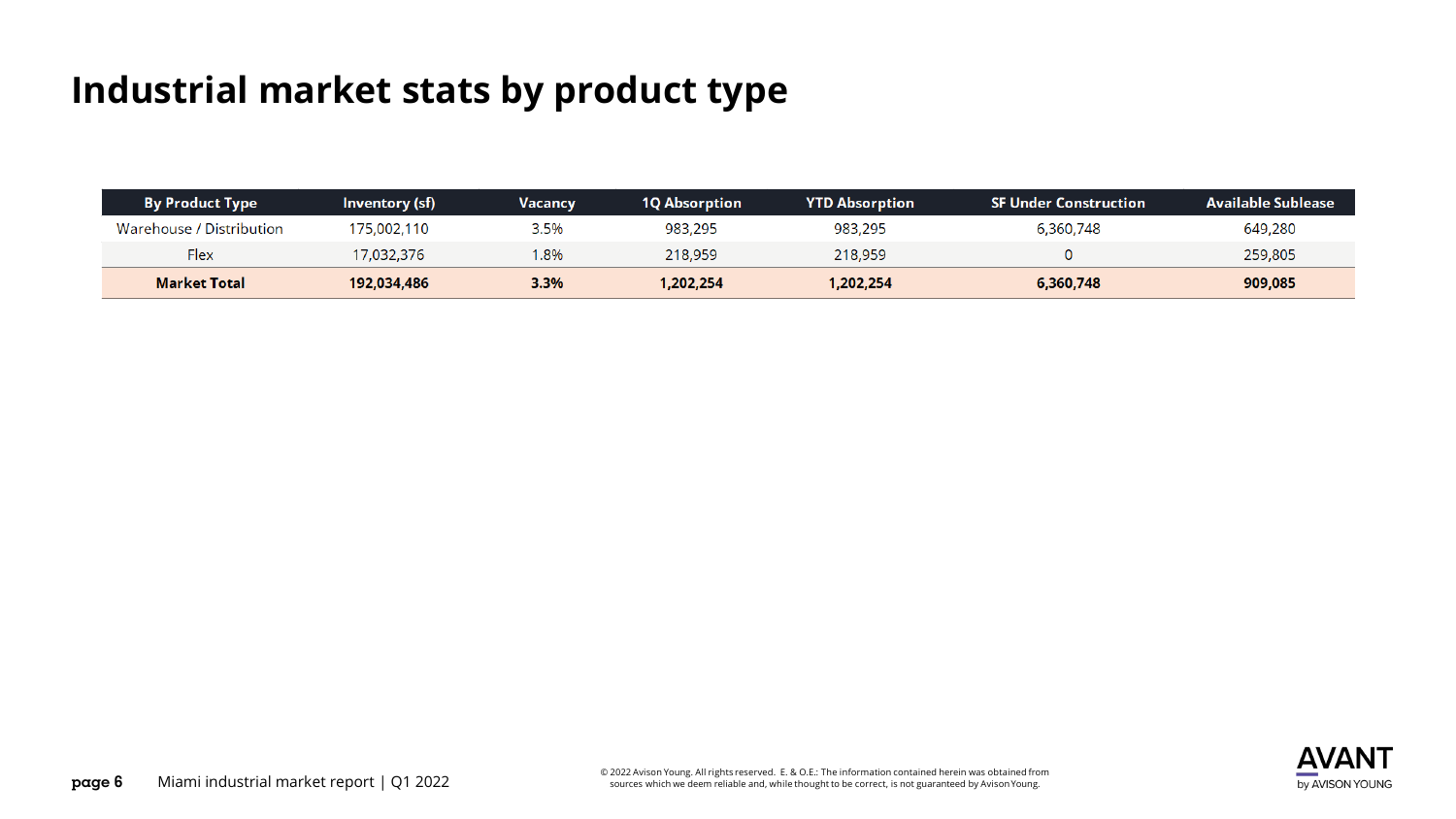## **Industrial market stats by product type**

| <b>By Product Type</b>   | Inventory (sf) | <b>Vacancy</b> | 1Q Absorption | <b>YTD Absorption</b> | <b>SF Under Construction</b> | Available Sublease |
|--------------------------|----------------|----------------|---------------|-----------------------|------------------------------|--------------------|
| Warehouse / Distribution | 175,002,110    | 3.5%           | 983,295       | 983,295               | 6,360,748                    | 649,280            |
| Flex                     | 7,032,376      | 1.8%           | 218,959       | 218,959               |                              | 259,805            |
| <b>Market Total</b>      | 192,034,486    | 3.3%           | 1,202,254     | 1,202,254             | 6,360,748                    | 909,085            |